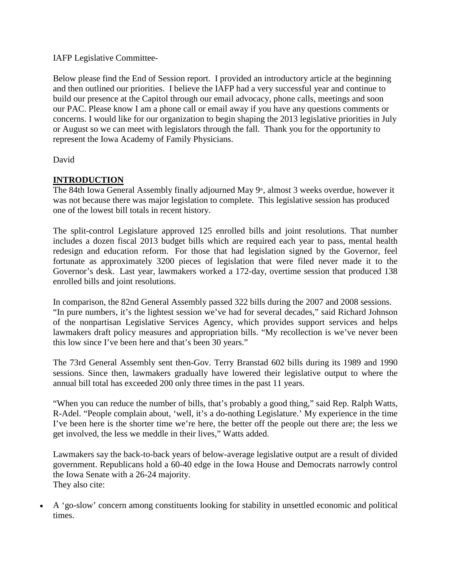## IAFP Legislative Committee-

Below please find the End of Session report. I provided an introductory article at the beginning and then outlined our priorities. I believe the IAFP had a very successful year and continue to build our presence at the Capitol through our email advocacy, phone calls, meetings and soon our PAC. Please know I am a phone call or email away if you have any questions comments or concerns. I would like for our organization to begin shaping the 2013 legislative priorities in July or August so we can meet with legislators through the fall. Thank you for the opportunity to represent the Iowa Academy of Family Physicians.

David

# **INTRODUCTION**

The 84th Iowa General Assembly finally adjourned May 9<sup>th</sup>, almost 3 weeks overdue, however it was not because there was major legislation to complete. This legislative session has produced one of the lowest bill totals in recent history.

The split-control Legislature approved 125 enrolled bills and joint resolutions. That number includes a dozen fiscal 2013 budget bills which are required each year to pass, mental health redesign and education reform. For those that had legislation signed by the Governor, feel fortunate as approximately 3200 pieces of legislation that were filed never made it to the Governor's desk. Last year, lawmakers worked a 172-day, overtime session that produced 138 enrolled bills and joint resolutions.

In comparison, the 82nd General Assembly passed 322 bills during the 2007 and 2008 sessions. "In pure numbers, it's the lightest session we've had for several decades," said Richard Johnson of the nonpartisan Legislative Services Agency, which provides support services and helps lawmakers draft policy measures and appropriation bills. "My recollection is we've never been this low since I've been here and that's been 30 years."

The 73rd General Assembly sent then-Gov. Terry Branstad 602 bills during its 1989 and 1990 sessions. Since then, lawmakers gradually have lowered their legislative output to where the annual bill total has exceeded 200 only three times in the past 11 years.

"When you can reduce the number of bills, that's probably a good thing," said Rep. Ralph Watts, R-Adel. "People complain about, 'well, it's a do-nothing Legislature.' My experience in the time I've been here is the shorter time we're here, the better off the people out there are; the less we get involved, the less we meddle in their lives," Watts added.

Lawmakers say the back-to-back years of below-average legislative output are a result of divided government. Republicans hold a 60-40 edge in the Iowa House and Democrats narrowly control the Iowa Senate with a 26-24 majority. They also cite:

A 'go-slow' concern among constituents looking for stability in unsettled economic and political times.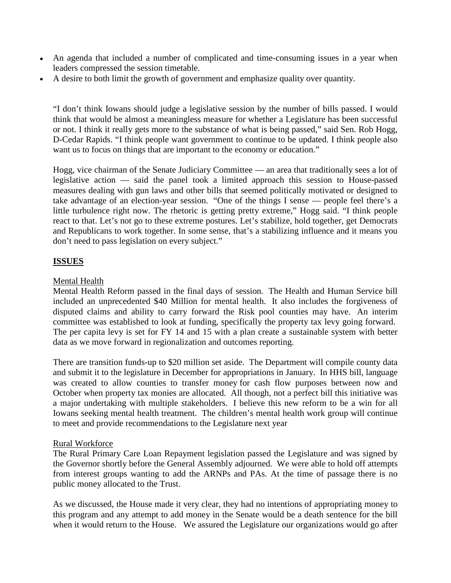- An agenda that included a number of complicated and time-consuming issues in a year when  $\bullet$ leaders compressed the session timetable.
- A desire to both limit the growth of government and emphasize quality over quantity.

"I don't think Iowans should judge a legislative session by the number of bills passed. I would think that would be almost a meaningless measure for whether a Legislature has been successful or not. I think it really gets more to the substance of what is being passed," said Sen. Rob Hogg, D-Cedar Rapids. "I think people want government to continue to be updated. I think people also want us to focus on things that are important to the economy or education."

Hogg, vice chairman of the Senate Judiciary Committee — an area that traditionally sees a lot of legislative action — said the panel took a limited approach this session to House-passed measures dealing with gun laws and other bills that seemed politically motivated or designed to take advantage of an election-year session. "One of the things I sense — people feel there's a little turbulence right now. The rhetoric is getting pretty extreme," Hogg said. "I think people react to that. Let's not go to these extreme postures. Let's stabilize, hold together, get Democrats and Republicans to work together. In some sense, that's a stabilizing influence and it means you don't need to pass legislation on every subject."

## **ISSUES**

### Mental Health

Mental Health Reform passed in the final days of session. The Health and Human Service bill included an unprecedented \$40 Million for mental health. It also includes the forgiveness of disputed claims and ability to carry forward the Risk pool counties may have. An interim committee was established to look at funding, specifically the property tax levy going forward. The per capita levy is set for FY 14 and 15 with a plan create a sustainable system with better data as we move forward in regionalization and outcomes reporting.

There are transition funds-up to \$20 million set aside. The Department will compile county data and submit it to the legislature in December for appropriations in January. In HHS bill, language was created to allow counties to transfer money for cash flow purposes between now and October when property tax monies are allocated. All though, not a perfect bill this initiative was a major undertaking with multiple stakeholders. I believe this new reform to be a win for all Iowans seeking mental health treatment. The children's mental health work group will continue to meet and provide recommendations to the Legislature next year

### Rural Workforce

The Rural Primary Care Loan Repayment legislation passed the Legislature and was signed by the Governor shortly before the General Assembly adjourned. We were able to hold off attempts from interest groups wanting to add the ARNPs and PAs. At the time of passage there is no public money allocated to the Trust.

As we discussed, the House made it very clear, they had no intentions of appropriating money to this program and any attempt to add money in the Senate would be a death sentence for the bill when it would return to the House. We assured the Legislature our organizations would go after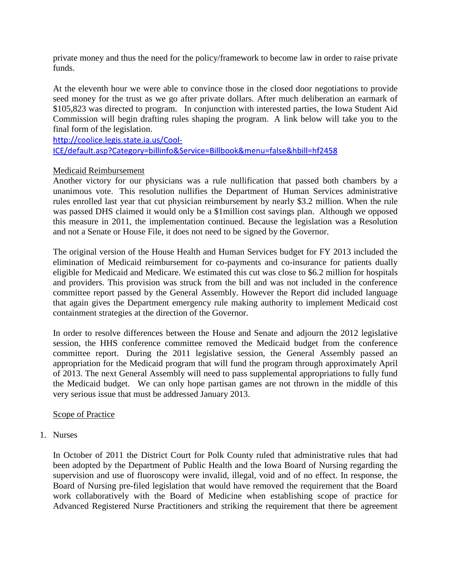private money and thus the need for the policy/framework to become law in order to raise private funds.

At the eleventh hour we were able to convince those in the closed door negotiations to provide seed money for the trust as we go after private dollars. After much deliberation an earmark of \$105,823 was directed to program. In conjunction with interested parties, the Iowa Student Aid Commission will begin drafting rules shaping the program. A link below will take you to the final form of the legislation.

http://coolice.legis.state.ia.us/Cool-ICE/default.asp?Category=billinfo&Service=Billbook&menu=false&hbill=hf2458

### Medicaid Reimbursement

Another victory for our physicians was a rule nullification that passed both chambers by a unanimous vote. This resolution nullifies the Department of Human Services administrative rules enrolled last year that cut physician reimbursement by nearly \$3.2 million. When the rule was passed DHS claimed it would only be a \$1million cost savings plan. Although we opposed this measure in 2011, the implementation continued. Because the legislation was a Resolution and not a Senate or House File, it does not need to be signed by the Governor.

The original version of the House Health and Human Services budget for FY 2013 included the elimination of Medicaid reimbursement for co-payments and co-insurance for patients dually eligible for Medicaid and Medicare. We estimated this cut was close to \$6.2 million for hospitals and providers. This provision was struck from the bill and was not included in the conference committee report passed by the General Assembly. However the Report did included language that again gives the Department emergency rule making authority to implement Medicaid cost containment strategies at the direction of the Governor.

In order to resolve differences between the House and Senate and adjourn the 2012 legislative session, the HHS conference committee removed the Medicaid budget from the conference committee report. During the 2011 legislative session, the General Assembly passed an appropriation for the Medicaid program that will fund the program through approximately April of 2013. The next General Assembly will need to pass supplemental appropriations to fully fund the Medicaid budget. We can only hope partisan games are not thrown in the middle of this very serious issue that must be addressed January 2013.

## Scope of Practice

1. Nurses

In October of 2011 the District Court for Polk County ruled that administrative rules that had been adopted by the Department of Public Health and the Iowa Board of Nursing regarding the supervision and use of fluoroscopy were invalid, illegal, void and of no effect. In response, the Board of Nursing pre-filed legislation that would have removed the requirement that the Board work collaboratively with the Board of Medicine when establishing scope of practice for Advanced Registered Nurse Practitioners and striking the requirement that there be agreement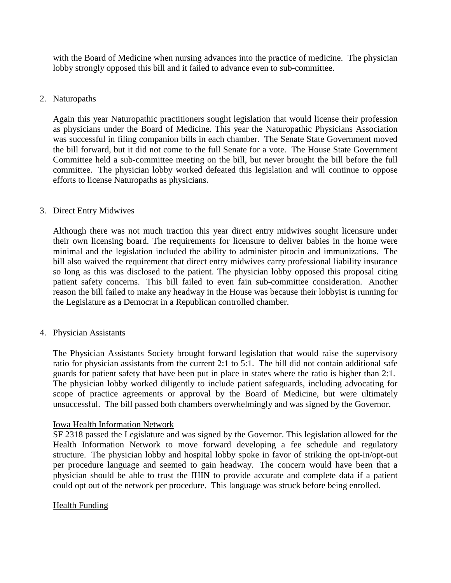with the Board of Medicine when nursing advances into the practice of medicine. The physician lobby strongly opposed this bill and it failed to advance even to sub-committee.

### 2. Naturopaths

Again this year Naturopathic practitioners sought legislation that would license their profession as physicians under the Board of Medicine. This year the Naturopathic Physicians Association was successful in filing companion bills in each chamber. The Senate State Government moved the bill forward, but it did not come to the full Senate for a vote. The House State Government Committee held a sub-committee meeting on the bill, but never brought the bill before the full committee. The physician lobby worked defeated this legislation and will continue to oppose efforts to license Naturopaths as physicians.

#### 3. Direct Entry Midwives

Although there was not much traction this year direct entry midwives sought licensure under their own licensing board. The requirements for licensure to deliver babies in the home were minimal and the legislation included the ability to administer pitocin and immunizations. The bill also waived the requirement that direct entry midwives carry professional liability insurance so long as this was disclosed to the patient. The physician lobby opposed this proposal citing patient safety concerns. This bill failed to even fain sub-committee consideration. Another reason the bill failed to make any headway in the House was because their lobbyist is running for the Legislature as a Democrat in a Republican controlled chamber.

#### 4. Physician Assistants

The Physician Assistants Society brought forward legislation that would raise the supervisory ratio for physician assistants from the current 2:1 to 5:1. The bill did not contain additional safe guards for patient safety that have been put in place in states where the ratio is higher than 2:1. The physician lobby worked diligently to include patient safeguards, including advocating for scope of practice agreements or approval by the Board of Medicine, but were ultimately unsuccessful. The bill passed both chambers overwhelmingly and was signed by the Governor.

### Iowa Health Information Network

SF 2318 passed the Legislature and was signed by the Governor. This legislation allowed for the Health Information Network to move forward developing a fee schedule and regulatory structure. The physician lobby and hospital lobby spoke in favor of striking the opt-in/opt-out per procedure language and seemed to gain headway. The concern would have been that a physician should be able to trust the IHIN to provide accurate and complete data if a patient could opt out of the network per procedure. This language was struck before being enrolled.

### Health Funding